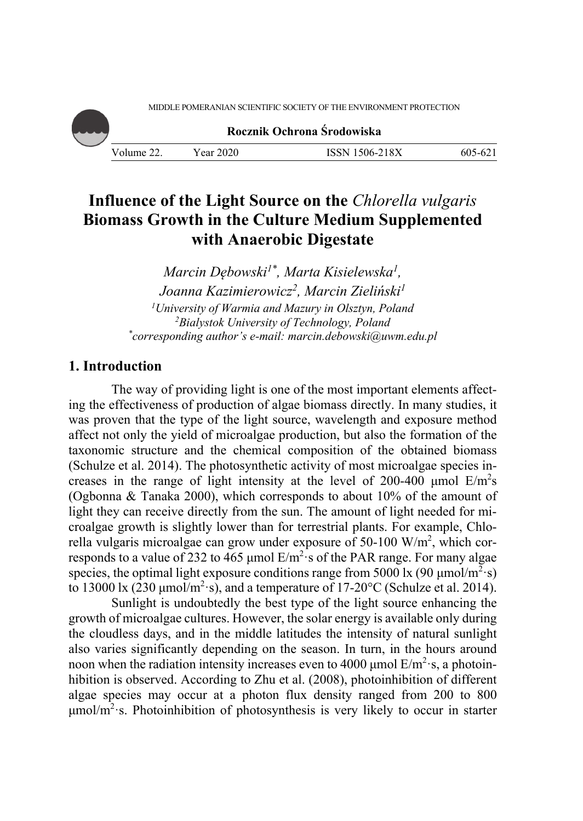MIDDLE POMERANIAN SCIENTIFIC SOCIETY OF THE ENVIRONMENT PROTECTION

**Rocznik Ochrona Środowiska**

Volume 22. Year 2020 ISSN 1506-218X 605-621

# **Influence of the Light Source on the** *Chlorella vulgaris* **Biomass Growth in the Culture Medium Supplemented with Anaerobic Digestate**

*Marcin Dębowski1\*, Marta Kisielewska1, Joanna Kazimierowicz2, Marcin Zieliński1 1 University of Warmia and Mazury in Olsztyn, Poland 2 Bialystok University of Technology, Poland \* corresponding author's e-mail: marcin.debowski@uwm.edu.pl* 

## **1. Introduction**

The way of providing light is one of the most important elements affecting the effectiveness of production of algae biomass directly. In many studies, it was proven that the type of the light source, wavelength and exposure method affect not only the yield of microalgae production, but also the formation of the taxonomic structure and the chemical composition of the obtained biomass (Schulze et al. 2014). The photosynthetic activity of most microalgae species increases in the range of light intensity at the level of 200-400 µmol  $E/m<sup>2</sup>s$ (Ogbonna & Tanaka 2000), which corresponds to about 10% of the amount of light they can receive directly from the sun. The amount of light needed for microalgae growth is slightly lower than for terrestrial plants. For example, Chlorella vulgaris microalgae can grow under exposure of 50-100 W/m<sup>2</sup>, which corresponds to a value of 232 to 465 µmol  $E/m^2$  s of the PAR range. For many algae species, the optimal light exposure conditions range from 5000 lx (90  $\mu$ mol/m<sup>2</sup>·s) to 13000 lx (230  $\mu$ mol/m<sup>2</sup>·s), and a temperature of 17-20°C (Schulze et al. 2014).

Sunlight is undoubtedly the best type of the light source enhancing the growth of microalgae cultures. However, the solar energy is available only during the cloudless days, and in the middle latitudes the intensity of natural sunlight also varies significantly depending on the season. In turn, in the hours around noon when the radiation intensity increases even to 4000 µmol  $E/m^2$  s, a photoinhibition is observed. According to Zhu et al. (2008), photoinhibition of different algae species may occur at a photon flux density ranged from 200 to 800  $\mu$ mol/m<sup>2</sup>·s. Photoinhibition of photosynthesis is very likely to occur in starter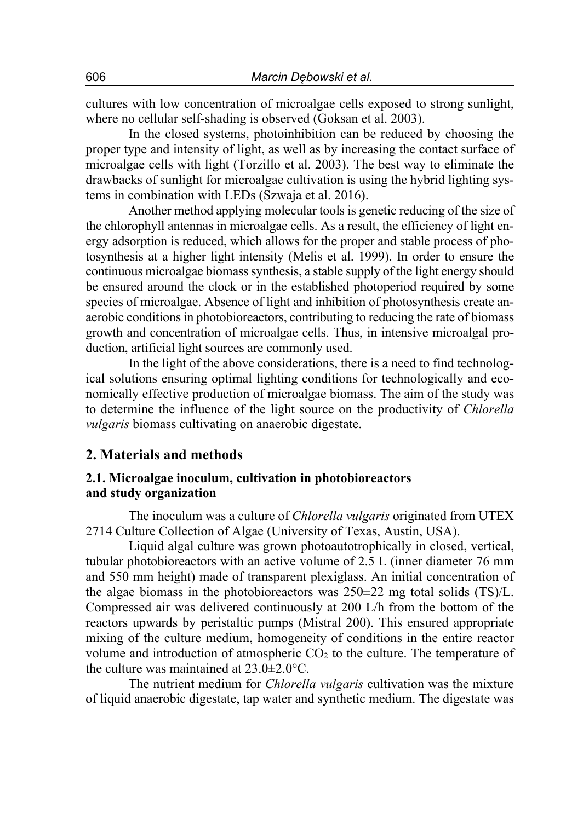cultures with low concentration of microalgae cells exposed to strong sunlight, where no cellular self*-*shading is observed (Goksan et al. 2003).

In the closed systems, photoinhibition can be reduced by choosing the proper type and intensity of light, as well as by increasing the contact surface of microalgae cells with light (Torzillo et al. 2003). The best way to eliminate the drawbacks of sunlight for microalgae cultivation is using the hybrid lighting systems in combination with LEDs (Szwaja et al. 2016).

Another method applying molecular tools is genetic reducing of the size of the chlorophyll antennas in microalgae cells. As a result, the efficiency of light energy adsorption is reduced, which allows for the proper and stable process of photosynthesis at a higher light intensity (Melis et al. 1999). In order to ensure the continuous microalgae biomass synthesis, a stable supply of the light energy should be ensured around the clock or in the established photoperiod required by some species of microalgae. Absence of light and inhibition of photosynthesis create anaerobic conditions in photobioreactors, contributing to reducing the rate of biomass growth and concentration of microalgae cells. Thus, in intensive microalgal production, artificial light sources are commonly used.

In the light of the above considerations, there is a need to find technological solutions ensuring optimal lighting conditions for technologically and economically effective production of microalgae biomass. The aim of the study was to determine the influence of the light source on the productivity of *Chlorella vulgaris* biomass cultivating on anaerobic digestate.

#### **2. Materials and methods**

#### **2.1. Microalgae inoculum, cultivation in photobioreactors and study organization**

The inoculum was a culture of *Chlorella vulgaris* originated from UTEX 2714 Culture Collection of Algae (University of Texas, Austin, USA).

Liquid algal culture was grown photoautotrophically in closed, vertical, tubular photobioreactors with an active volume of 2.5 L (inner diameter 76 mm and 550 mm height) made of transparent plexiglass. An initial concentration of the algae biomass in the photobioreactors was  $250\pm22$  mg total solids (TS)/L. Compressed air was delivered continuously at 200 L/h from the bottom of the reactors upwards by peristaltic pumps (Mistral 200). This ensured appropriate mixing of the culture medium, homogeneity of conditions in the entire reactor volume and introduction of atmospheric  $CO<sub>2</sub>$  to the culture. The temperature of the culture was maintained at  $23.0\pm2.0^{\circ}$ C.

The nutrient medium for *Chlorella vulgaris* cultivation was the mixture of liquid anaerobic digestate, tap water and synthetic medium. The digestate was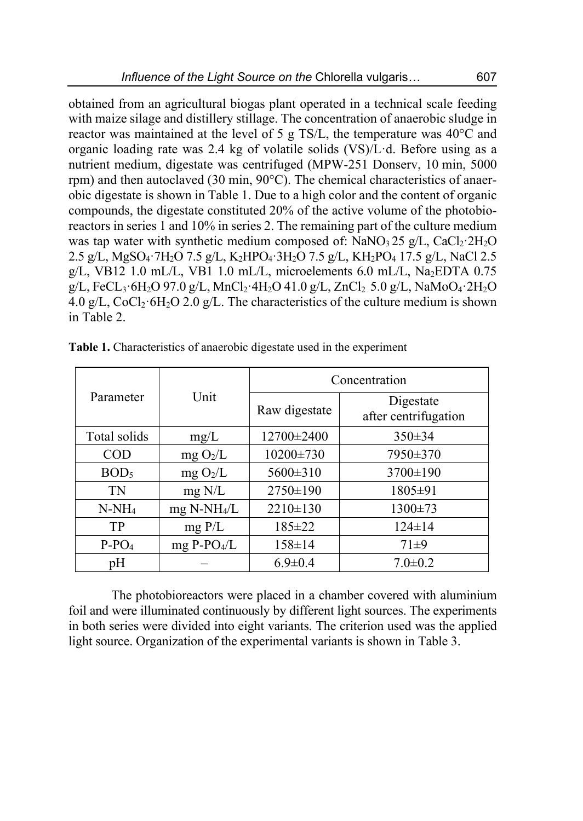obtained from an agricultural biogas plant operated in a technical scale feeding with maize silage and distillery stillage. The concentration of anaerobic sludge in reactor was maintained at the level of 5 g TS/L, the temperature was 40°C and organic loading rate was 2.4 kg of volatile solids (VS)/Lꞏd. Before using as a nutrient medium, digestate was centrifuged (MPW-251 Donserv, 10 min, 5000 rpm) and then autoclaved (30 min, 90°C). The chemical characteristics of anaerobic digestate is shown in Table 1. Due to a high color and the content of organic compounds, the digestate constituted 20% of the active volume of the photobioreactors in series 1 and 10% in series 2. The remaining part of the culture medium was tap water with synthetic medium composed of:  $NaNO<sub>3</sub>25 g/L$ , CaCl<sub>2</sub> $\cdot$ 2H<sub>2</sub>O 2.5 g/L, MgSO<sub>4</sub></sub>·7H<sub>2</sub>O 7.5 g/L, K<sub>2</sub>HPO<sub>4</sub>·3H<sub>2</sub>O 7.5 g/L, KH<sub>2</sub>PO<sub>4</sub> 17.5 g/L, NaCl 2.5 g/L, VB12 1.0 mL/L, VB1 1.0 mL/L, microelements 6.0 mL/L, Na<sub>2</sub>EDTA 0.75  $g/L$ , FeCL<sub>3</sub> $\cdot 6H_2O$  97.0 g/L, MnCl<sub>2</sub> $\cdot 4H_2O$  41.0 g/L, ZnCl<sub>2</sub> 5.0 g/L, NaMoO<sub>4</sub> $\cdot 2H_2O$ 4.0 g/L,  $CoCl<sub>2</sub>·6H<sub>2</sub>O$  2.0 g/L. The characteristics of the culture medium is shown in Table 2.

|                  | Unit                      | Concentration |                                   |  |
|------------------|---------------------------|---------------|-----------------------------------|--|
| Parameter        |                           | Raw digestate | Digestate<br>after centrifugation |  |
| Total solids     | mg/L                      | 12700±2400    | $350 \pm 34$                      |  |
| <b>COD</b>       | mg O <sub>2</sub> /L      | 10200±730     | 7950±370                          |  |
| BOD <sub>5</sub> | mg O <sub>2</sub> /L      | 5600±310      | 3700±190                          |  |
| <b>TN</b>        | $mg$ N/L                  | 2750±190      | 1805±91                           |  |
| $N-NH_4$         | $mg$ N-NH <sub>4</sub> /L | 2210±130      | 1300±73                           |  |
| TP               | $mg$ P/L                  | 185±22        | $124 \pm 14$                      |  |
| $P-PO4$          | $mg P-PO4/L$              | $158 \pm 14$  | $71\pm9$                          |  |
| pН               |                           | $6.9 \pm 0.4$ | $7.0 \pm 0.2$                     |  |

**Table 1.** Characteristics of anaerobic digestate used in the experiment

The photobioreactors were placed in a chamber covered with aluminium foil and were illuminated continuously by different light sources. The experiments in both series were divided into eight variants. The criterion used was the applied light source. Organization of the experimental variants is shown in Table 3.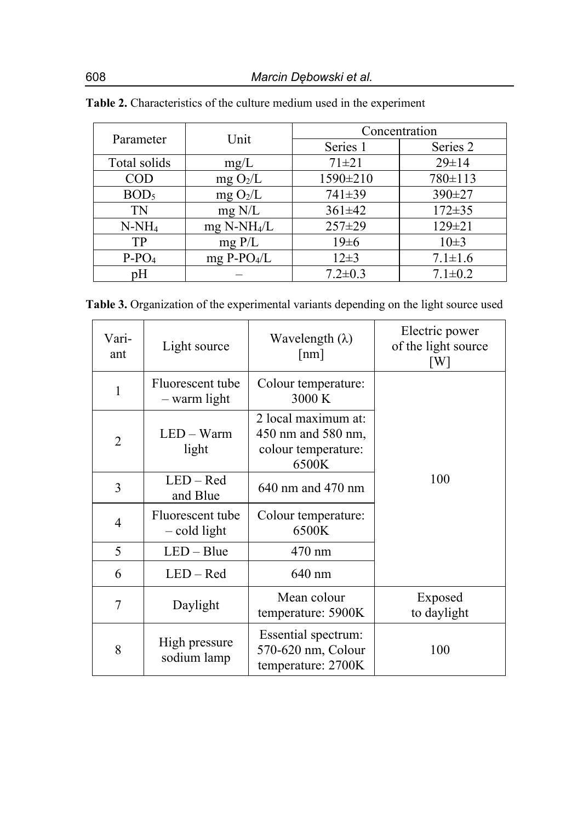| Parameter        | Unit                      | Concentration |               |  |
|------------------|---------------------------|---------------|---------------|--|
|                  |                           | Series 1      | Series 2      |  |
| Total solids     | mg/L                      | $71 + 21$     | $29 \pm 14$   |  |
| $\rm{COD}$       | mg O <sub>2</sub> /L      | 1590±210      | 780±113       |  |
| BOD <sub>5</sub> | mg O <sub>2</sub> /L      | 741±39        | 390±27        |  |
| TN               | $mg$ N/L                  | $361 \pm 42$  | $172 \pm 35$  |  |
| $N-NH_4$         | $mg$ N-NH <sub>4</sub> /L | $257 \pm 29$  | 129±21        |  |
| TP               | $mg$ P/L                  | $19\pm 6$     | $10\pm3$      |  |
| $P-PO4$          | $mg P-PO4/L$              | $12\pm3$      | $7.1 \pm 1.6$ |  |
| pH               |                           | $7.2 \pm 0.3$ | $7.1 \pm 0.2$ |  |

| <b>Table 2.</b> Characteristics of the culture medium used in the experiment |  |  |  |  |
|------------------------------------------------------------------------------|--|--|--|--|
|------------------------------------------------------------------------------|--|--|--|--|

**Table 3.** Organization of the experimental variants depending on the light source used

| Vari-<br>ant   | Light source                       | Wavelength $(\lambda)$<br>$\lceil nm \rceil$                              | Electric power<br>of the light source<br>$\lceil W \rceil$ |
|----------------|------------------------------------|---------------------------------------------------------------------------|------------------------------------------------------------|
| 1              | Fluorescent tube<br>- warm light   | Colour temperature:<br>3000 K                                             |                                                            |
| $\overline{2}$ | LED - Warm<br>light                | 2 local maximum at:<br>450 nm and 580 nm,<br>colour temperature:<br>6500K |                                                            |
| $\overline{3}$ | $LED - Red$<br>and Blue            | $640$ nm and $470$ nm                                                     | 100                                                        |
| 4              | Fluorescent tube<br>$-$ cold light | Colour temperature:<br>6500K                                              |                                                            |
| 5              | $LED - Blue$                       | 470 nm                                                                    |                                                            |
| 6              | $LED - Red$                        | 640 nm                                                                    |                                                            |
| 7              | Daylight                           | Mean colour<br>temperature: 5900K                                         | Exposed<br>to daylight                                     |
| 8              | High pressure<br>sodium lamp       | Essential spectrum:<br>570-620 nm, Colour<br>temperature: 2700K           | 100                                                        |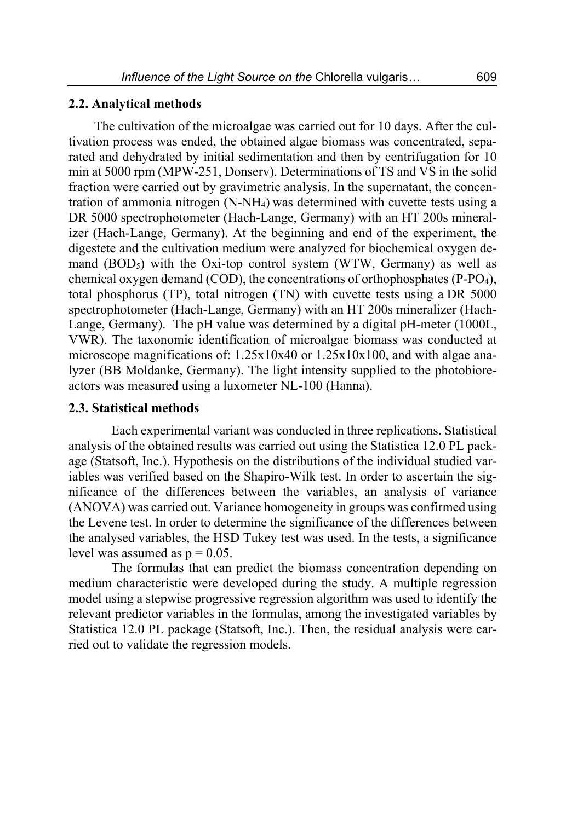#### **2.2. Analytical methods**

The cultivation of the microalgae was carried out for 10 days. After the cultivation process was ended, the obtained algae biomass was concentrated, separated and dehydrated by initial sedimentation and then by centrifugation for 10 min at 5000 rpm (MPW-251, Donserv). Determinations of TS and VS in the solid fraction were carried out by gravimetric analysis. In the supernatant, the concentration of ammonia nitrogen (N-NH4) was determined with cuvette tests using a DR 5000 spectrophotometer (Hach-Lange, Germany) with an HT 200s mineralizer (Hach-Lange, Germany). At the beginning and end of the experiment, the digestete and the cultivation medium were analyzed for biochemical oxygen demand  $(BOD<sub>5</sub>)$  with the Oxi-top control system (WTW, Germany) as well as chemical oxygen demand (COD), the concentrations of orthophosphates (P-PO4), total phosphorus (TP), total nitrogen (TN) with cuvette tests using a DR 5000 spectrophotometer (Hach-Lange, Germany) with an HT 200s mineralizer (Hach-Lange, Germany). The pH value was determined by a digital pH-meter (1000L, VWR). The taxonomic identification of microalgae biomass was conducted at microscope magnifications of: 1.25x10x40 or 1.25x10x100, and with algae analyzer (BB Moldanke, Germany). The light intensity supplied to the photobioreactors was measured using a luxometer NL-100 (Hanna).

#### **2.3. Statistical methods**

Each experimental variant was conducted in three replications. Statistical analysis of the obtained results was carried out using the Statistica 12.0 PL package (Statsoft, Inc.). Hypothesis on the distributions of the individual studied variables was verified based on the Shapiro-Wilk test. In order to ascertain the significance of the differences between the variables, an analysis of variance (ANOVA) was carried out. Variance homogeneity in groups was confirmed using the Levene test. In order to determine the significance of the differences between the analysed variables, the HSD Tukey test was used. In the tests, a significance level was assumed as  $p = 0.05$ .

The formulas that can predict the biomass concentration depending on medium characteristic were developed during the study. A multiple regression model using a stepwise progressive regression algorithm was used to identify the relevant predictor variables in the formulas, among the investigated variables by Statistica 12.0 PL package (Statsoft, Inc.). Then, the residual analysis were carried out to validate the regression models.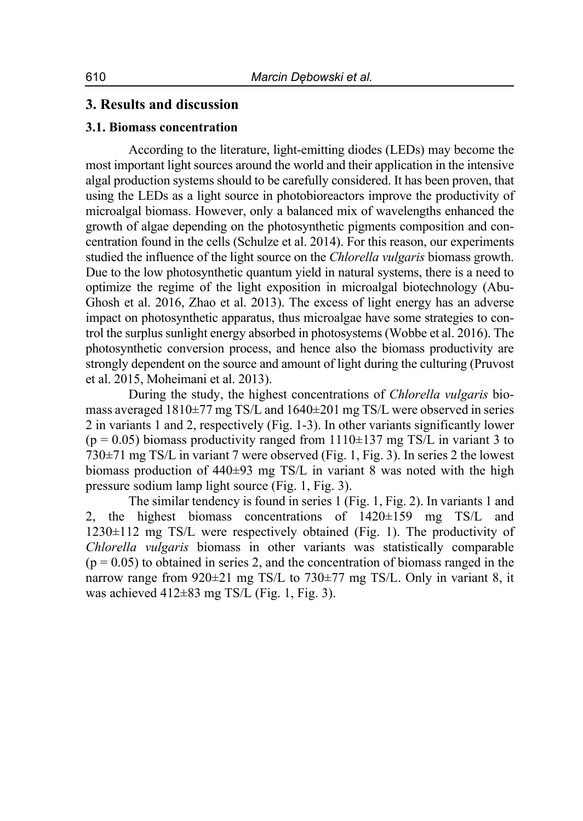### **3. Results and discussion**

#### **3.1. Biomass concentration**

According to the literature, light-emitting diodes (LEDs) may become the most important light sources around the world and their application in the intensive algal production systems should to be carefully considered. It has been proven, that using the LEDs as a light source in photobioreactors improve the productivity of microalgal biomass. However, only a balanced mix of wavelengths enhanced the growth of algae depending on the photosynthetic pigments composition and concentration found in the cells (Schulze et al. 2014). For this reason, our experiments studied the influence of the light source on the *Chlorella vulgaris* biomass growth. Due to the low photosynthetic quantum yield in natural systems, there is a need to optimize the regime of the light exposition in microalgal biotechnology (Abu-Ghosh et al. 2016, Zhao et al. 2013). The excess of light energy has an adverse impact on photosynthetic apparatus, thus microalgae have some strategies to control the surplus sunlight energy absorbed in photosystems (Wobbe et al. 2016). The photosynthetic conversion process, and hence also the biomass productivity are strongly dependent on the source and amount of light during the culturing (Pruvost et al. 2015, Moheimani et al. 2013).

During the study, the highest concentrations of *Chlorella vulgaris* biomass averaged  $1810\pm77$  mg TS/L and  $1640\pm201$  mg TS/L were observed in series 2 in variants 1 and 2, respectively (Fig. 1-3). In other variants significantly lower  $(p = 0.05)$  biomass productivity ranged from 1110 $\pm$ 137 mg TS/L in variant 3 to 730±71 mg TS/L in variant 7 were observed (Fig. 1, Fig. 3). In series 2 the lowest biomass production of 440±93 mg TS/L in variant 8 was noted with the high pressure sodium lamp light source (Fig. 1, Fig. 3).

The similar tendency is found in series 1 (Fig. 1, Fig. 2). In variants 1 and 2, the highest biomass concentrations of 1420±159 mg TS/L and 1230±112 mg TS/L were respectively obtained (Fig. 1). The productivity of *Chlorella vulgaris* biomass in other variants was statistically comparable  $(p = 0.05)$  to obtained in series 2, and the concentration of biomass ranged in the narrow range from 920±21 mg TS/L to 730±77 mg TS/L. Only in variant 8, it was achieved  $412\pm 83$  mg TS/L (Fig. 1, Fig. 3).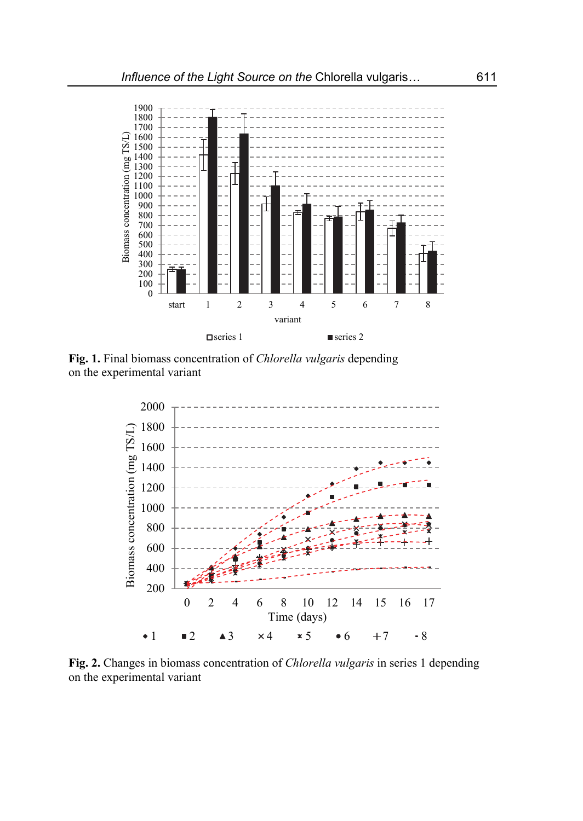

**Fig. 1.** Final biomass concentration of *Chlorella vulgaris* depending on the experimental variant



**Fig. 2.** Changes in biomass concentration of *Chlorella vulgaris* in series 1 depending on the experimental variant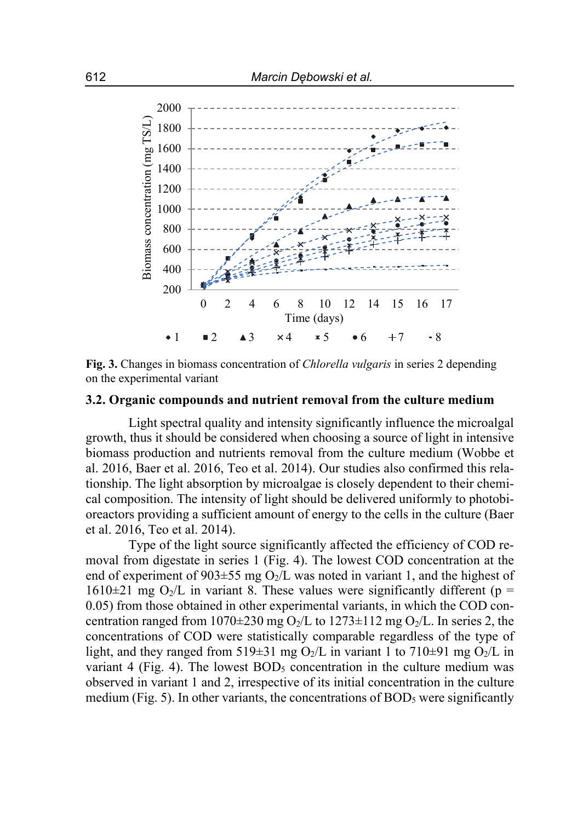

**Fig. 3.** Changes in biomass concentration of *Chlorella vulgaris* in series 2 depending on the experimental variant

#### **3.2. Organic compounds and nutrient removal from the culture medium**

Light spectral quality and intensity significantly influence the microalgal growth, thus it should be considered when choosing a source of light in intensive biomass production and nutrients removal from the culture medium (Wobbe et al. 2016, Baer et al. 2016, Teo et al. 2014). Our studies also confirmed this relationship. The light absorption by microalgae is closely dependent to their chemical composition. The intensity of light should be delivered uniformly to photobioreactors providing a sufficient amount of energy to the cells in the culture (Baer et al. 2016, Teo et al. 2014).

Type of the light source significantly affected the efficiency of COD removal from digestate in series 1 (Fig. 4). The lowest COD concentration at the end of experiment of 903 $\pm$ 55 mg O<sub>2</sub>/L was noted in variant 1, and the highest of  $1610\pm21$  mg O<sub>2</sub>/L in variant 8. These values were significantly different (p = 0.05) from those obtained in other experimental variants, in which the COD concentration ranged from 1070 $\pm$ 230 mg O<sub>2</sub>/L to 1273 $\pm$ 112 mg O<sub>2</sub>/L. In series 2, the concentrations of COD were statistically comparable regardless of the type of light, and they ranged from 519 $\pm$ 31 mg O<sub>2</sub>/L in variant 1 to 710 $\pm$ 91 mg O<sub>2</sub>/L in variant 4 (Fig. 4). The lowest  $BOD_5$  concentration in the culture medium was observed in variant 1 and 2, irrespective of its initial concentration in the culture medium (Fig. 5). In other variants, the concentrations of  $BOD<sub>5</sub>$  were significantly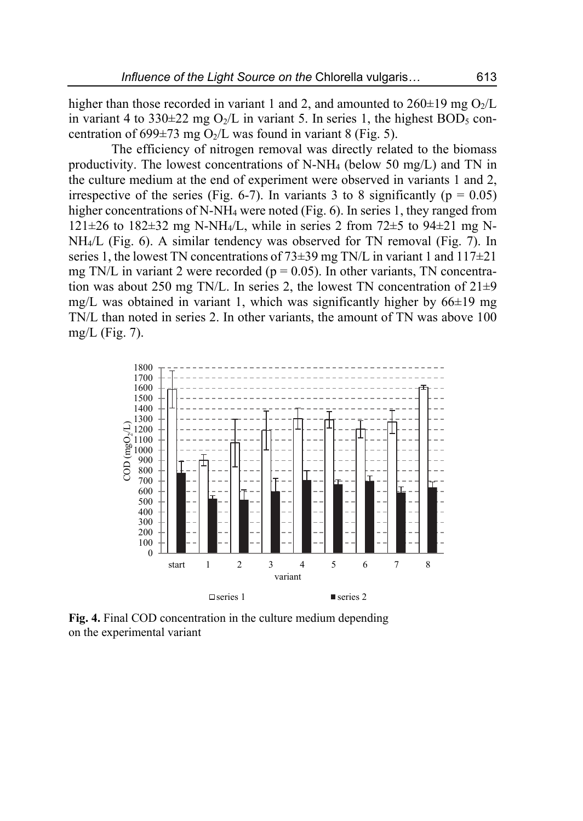higher than those recorded in variant 1 and 2, and amounted to  $260\pm19$  mg O<sub>2</sub>/L in variant 4 to 330 $\pm$ 22 mg O<sub>2</sub>/L in variant 5. In series 1, the highest BOD<sub>5</sub> concentration of 699 $\pm$ 73 mg O<sub>2</sub>/L was found in variant 8 (Fig. 5).

The efficiency of nitrogen removal was directly related to the biomass productivity. The lowest concentrations of N-NH4 (below 50 mg/L) and TN in the culture medium at the end of experiment were observed in variants 1 and 2, irrespective of the series (Fig. 6-7). In variants 3 to 8 significantly ( $p = 0.05$ ) higher concentrations of N-NH<sub>4</sub> were noted (Fig. 6). In series 1, they ranged from 121 $\pm$ 26 to 182 $\pm$ 32 mg N-NH<sub>4</sub>/L, while in series 2 from 72 $\pm$ 5 to 94 $\pm$ 21 mg N-NH4/L (Fig. 6). A similar tendency was observed for TN removal (Fig. 7). In series 1, the lowest TN concentrations of  $73\pm39$  mg TN/L in variant 1 and  $117\pm21$ mg TN/L in variant 2 were recorded ( $p = 0.05$ ). In other variants, TN concentration was about 250 mg TN/L. In series 2, the lowest TN concentration of  $21\pm9$ mg/L was obtained in variant 1, which was significantly higher by  $66\pm19$  mg TN/L than noted in series 2. In other variants, the amount of TN was above 100 mg/L (Fig. 7).



**Fig. 4.** Final COD concentration in the culture medium depending on the experimental variant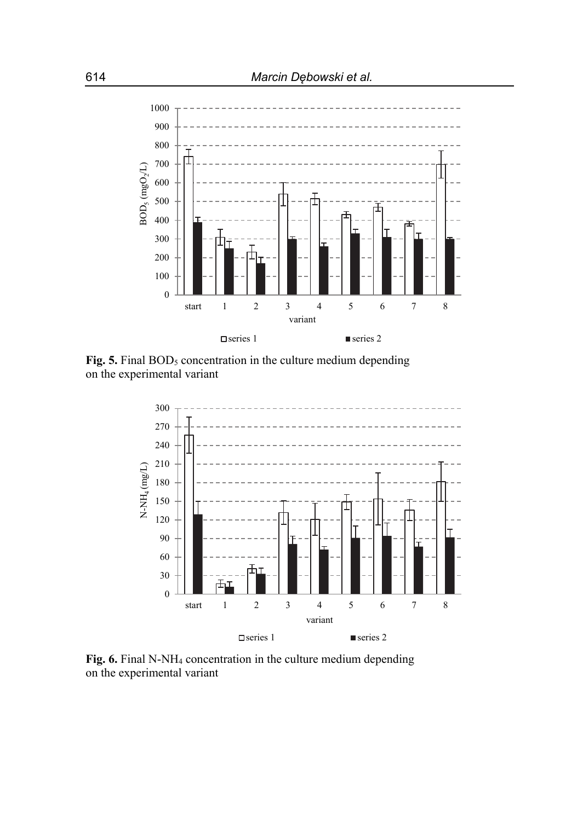

Fig. 5. Final BOD<sub>5</sub> concentration in the culture medium depending on the experimental variant



**Fig. 6.** Final N-NH4 concentration in the culture medium depending on the experimental variant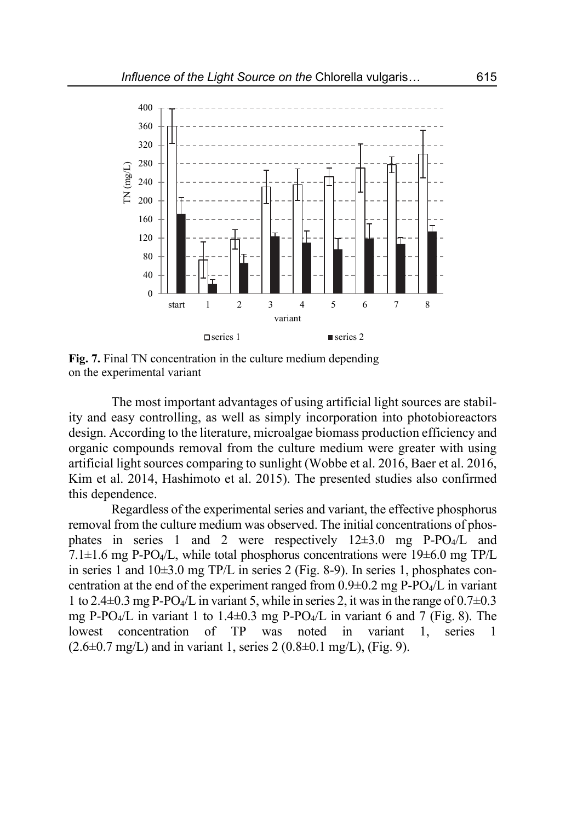

**Fig. 7.** Final TN concentration in the culture medium depending on the experimental variant

The most important advantages of using artificial light sources are stability and easy controlling, as well as simply incorporation into photobioreactors design. According to the literature, microalgae biomass production efficiency and organic compounds removal from the culture medium were greater with using artificial light sources comparing to sunlight (Wobbe et al. 2016, Baer et al. 2016, Kim et al. 2014, Hashimoto et al. 2015). The presented studies also confirmed this dependence.

Regardless of the experimental series and variant, the effective phosphorus removal from the culture medium was observed. The initial concentrations of phosphates in series 1 and 2 were respectively  $12\pm3.0$  mg P-PO<sub>4</sub>/L and 7.1 $\pm$ 1.6 mg P-PO<sub>4</sub>/L, while total phosphorus concentrations were 19 $\pm$ 6.0 mg TP/L in series 1 and  $10\pm3.0$  mg TP/L in series 2 (Fig. 8-9). In series 1, phosphates concentration at the end of the experiment ranged from  $0.9\pm 0.2$  mg P-PO<sub>4</sub>/L in variant 1 to 2.4 $\pm$ 0.3 mg P-PO<sub>4</sub>/L in variant 5, while in series 2, it was in the range of 0.7 $\pm$ 0.3 mg P-PO<sub>4</sub>/L in variant 1 to 1.4 $\pm$ 0.3 mg P-PO<sub>4</sub>/L in variant 6 and 7 (Fig. 8). The lowest concentration of TP was noted in variant 1, series 1  $(2.6\pm0.7 \text{ mg/L})$  and in variant 1, series  $2(0.8\pm0.1 \text{ mg/L})$ , (Fig. 9).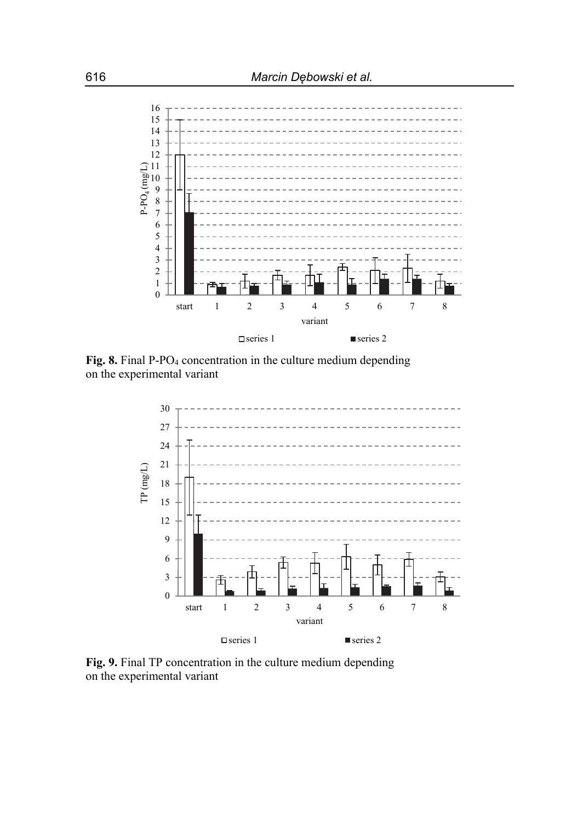

Fig. 8. Final P-PO<sub>4</sub> concentration in the culture medium depending on the experimental variant



**Fig. 9.** Final TP concentration in the culture medium depending on the experimental variant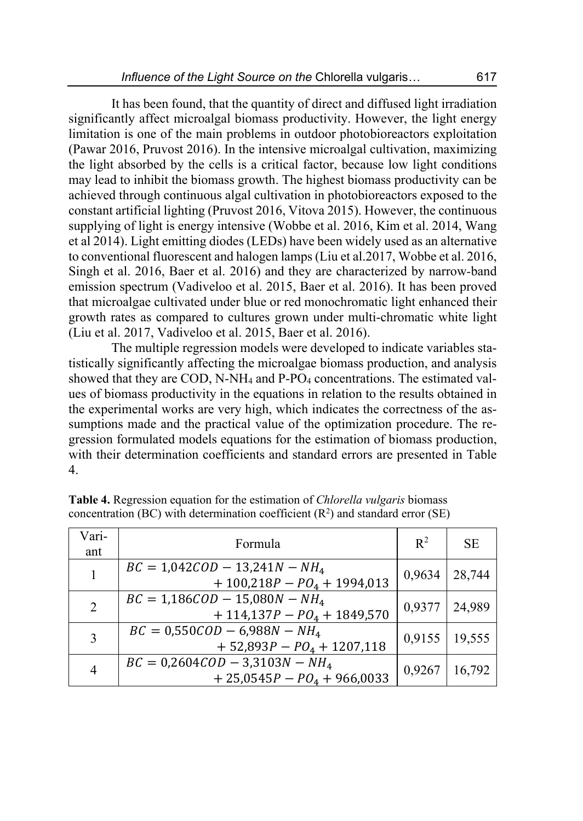It has been found, that the quantity of direct and diffused light irradiation significantly affect microalgal biomass productivity. However, the light energy limitation is one of the main problems in outdoor photobioreactors exploitation (Pawar 2016, Pruvost 2016). In the intensive microalgal cultivation, maximizing the light absorbed by the cells is a critical factor, because low light conditions may lead to inhibit the biomass growth. The highest biomass productivity can be achieved through continuous algal cultivation in photobioreactors exposed to the constant artificial lighting (Pruvost 2016, Vitova 2015). However, the continuous supplying of light is energy intensive (Wobbe et al. 2016, Kim et al. 2014, Wang et al 2014). Light emitting diodes (LEDs) have been widely used as an alternative to conventional fluorescent and halogen lamps (Liu et al.2017, Wobbe et al. 2016, Singh et al. 2016, Baer et al. 2016) and they are characterized by narrow*-*band emission spectrum (Vadiveloo et al. 2015, Baer et al. 2016). It has been proved that microalgae cultivated under blue or red monochromatic light enhanced their growth rates as compared to cultures grown under multi-chromatic white light (Liu et al. 2017, Vadiveloo et al. 2015, Baer et al. 2016).

The multiple regression models were developed to indicate variables statistically significantly affecting the microalgae biomass production, and analysis showed that they are COD, N-NH<sub>4</sub> and P-PO<sub>4</sub> concentrations. The estimated values of biomass productivity in the equations in relation to the results obtained in the experimental works are very high, which indicates the correctness of the assumptions made and the practical value of the optimization procedure. The regression formulated models equations for the estimation of biomass production, with their determination coefficients and standard errors are presented in Table 4.

| Vari-<br>ant | Formula                                                          | $\mathbb{R}^2$ | SE.    |
|--------------|------------------------------------------------------------------|----------------|--------|
| 1            | $BC = 1,042COD - 13,241N - NH4$<br>$+100,218P - PO4 + 1994,013$  | 0,9634         | 28,744 |
| 2            | $BC = 1,186COD - 15,080N - NH4$<br>$+ 114,137P - PQ4 + 1849,570$ | 0,9377         | 24,989 |
| 3            | $BC = 0.550 COD - 6.988N - NH4$<br>$+ 52,893P - PO4 + 1207,118$  | 0,9155         | 19,555 |
| 4            | $BC = 0,2604COD - 3,3103N - NH4$<br>$+25,0545P - PQ4 + 966,0033$ | 0,9267         | 16,792 |

**Table 4.** Regression equation for the estimation of *Chlorella vulgaris* biomass concentration (BC) with determination coefficient  $(R^2)$  and standard error (SE)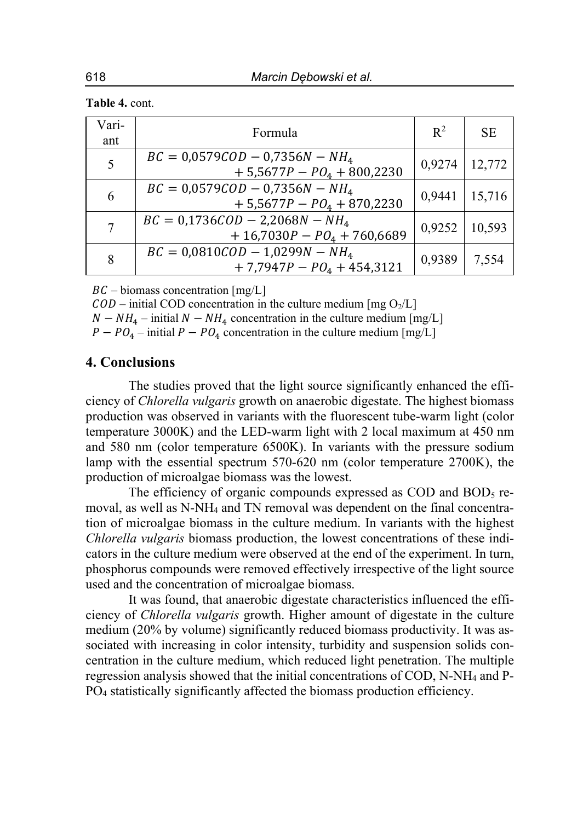| Table 4. cont. |  |
|----------------|--|
|----------------|--|

| Vari-<br>ant | Formula                                                            | $\mathbb{R}^2$ | <b>SE</b> |
|--------------|--------------------------------------------------------------------|----------------|-----------|
| 5            | $BC = 0.0579COD - 0.7356N - NH4$<br>$+5,5677P - PQ_4 + 800,2230$   | 0,9274         | 12,772    |
| 6            | $BC = 0.0579COD - 0.7356N - NH4$<br>$+5,5677P - PO4 + 870,2230$    | 0,9441         | 15,716    |
| 7            | $BC = 0.1736COD - 2.2068N - NH4$<br>$+ 16,7030P - PQ4 + 760,6689$  | 0,9252         | 10,593    |
| 8            | $BC = 0.0810 COD - 1.0299N - NH4$<br>$+ 7,7947P - PQ_4 + 454,3121$ | 0,9389         | 7,554     |

 $BC - \text{biomass concentration [mg/L]}$ 

 $\widehat{COD}$  – initial COD concentration in the culture medium [mg O<sub>2</sub>/L]

 $N - NH_4$  – initial  $N - NH_4$  concentration in the culture medium [mg/L]

 $P - PO<sub>4</sub> - initial P - PO<sub>4</sub>$  concentration in the culture medium [mg/L]

## **4. Conclusions**

The studies proved that the light source significantly enhanced the efficiency of *Chlorella vulgaris* growth on anaerobic digestate. The highest biomass production was observed in variants with the fluorescent tube-warm light (color temperature 3000K) and the LED-warm light with 2 local maximum at 450 nm and 580 nm (color temperature 6500K). In variants with the pressure sodium lamp with the essential spectrum 570-620 nm (color temperature 2700K), the production of microalgae biomass was the lowest.

The efficiency of organic compounds expressed as COD and BOD<sub>5</sub> removal, as well as N-NH4 and TN removal was dependent on the final concentration of microalgae biomass in the culture medium. In variants with the highest *Chlorella vulgaris* biomass production, the lowest concentrations of these indicators in the culture medium were observed at the end of the experiment. In turn, phosphorus compounds were removed effectively irrespective of the light source used and the concentration of microalgae biomass.

It was found, that anaerobic digestate characteristics influenced the efficiency of *Chlorella vulgaris* growth. Higher amount of digestate in the culture medium (20% by volume) significantly reduced biomass productivity. It was associated with increasing in color intensity, turbidity and suspension solids concentration in the culture medium, which reduced light penetration. The multiple regression analysis showed that the initial concentrations of COD, N-NH4 and P-PO4 statistically significantly affected the biomass production efficiency.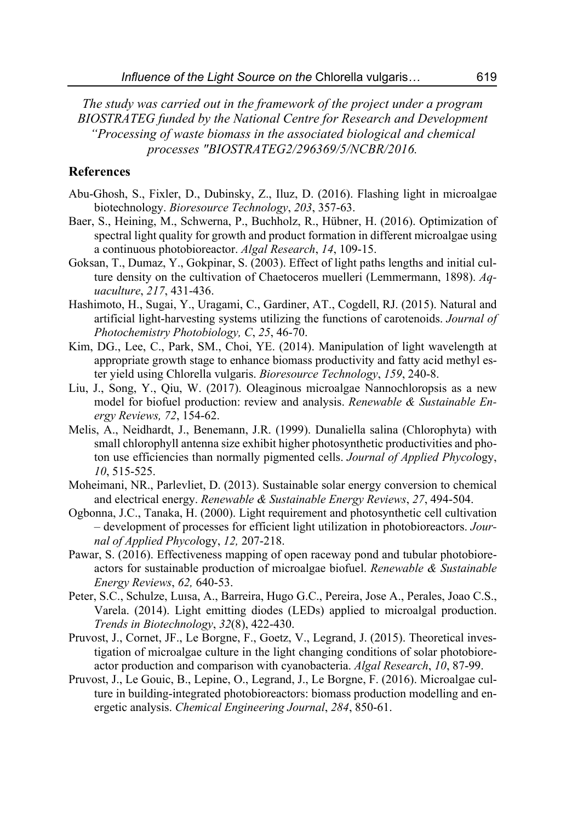*The study was carried out in the framework of the project under a program BIOSTRATEG funded by the National Centre for Research and Development "Processing of waste biomass in the associated biological and chemical processes "BIOSTRATEG2/296369/5/NCBR/2016.* 

#### **References**

- Abu-Ghosh, S., Fixler, D., Dubinsky, Z., Iluz, D. (2016). Flashing light in microalgae biotechnology. *Bioresource Technology*, *203*, 357-63.
- Baer, S., Heining, M., Schwerna, P., Buchholz, R., Hübner, H. (2016). Optimization of spectral light quality for growth and product formation in different microalgae using a continuous photobioreactor. *Algal Research*, *14*, 109-15.
- Goksan, T., Dumaz, Y., Gokpinar, S. (2003). Effect of light paths lengths and initial culture density on the cultivation of Chaetoceros muelleri (Lemmermann, 1898). *Aquaculture*, *217*, 431-436.
- Hashimoto, H., Sugai, Y., Uragami, C., Gardiner, AT., Cogdell, RJ. (2015). Natural and artificial light-harvesting systems utilizing the functions of carotenoids. *Journal of Photochemistry Photobiology, C*, *25*, 46-70.
- Kim, DG., Lee, C., Park, SM., Choi, YE. (2014). Manipulation of light wavelength at appropriate growth stage to enhance biomass productivity and fatty acid methyl ester yield using Chlorella vulgaris. *Bioresource Technology*, *159*, 240-8.
- Liu, J., Song, Y., Qiu, W. (2017). Oleaginous microalgae Nannochloropsis as a new model for biofuel production: review and analysis. *Renewable & Sustainable Energy Reviews, 72*, 154-62.
- Melis, A., Neidhardt, J., Benemann, J.R. (1999). Dunaliella salina (Chlorophyta) with small chlorophyll antenna size exhibit higher photosynthetic productivities and photon use efficiencies than normally pigmented cells. *Journal of Applied Phycol*ogy, *10*, 515-525.
- Moheimani, NR., Parlevliet, D. (2013). Sustainable solar energy conversion to chemical and electrical energy. *Renewable & Sustainable Energy Reviews*, *27*, 494-504.
- Ogbonna, J.C., Tanaka, H. (2000). Light requirement and photosynthetic cell cultivation – development of processes for efficient light utilization in photobioreactors. *Journal of Applied Phycol*ogy, *12,* 207-218.
- Pawar, S. (2016). Effectiveness mapping of open raceway pond and tubular photobioreactors for sustainable production of microalgae biofuel. *Renewable & Sustainable Energy Reviews*, *62,* 640-53.
- Peter, S.C., Schulze, Luısa, A., Barreira, Hugo G.C., Pereira, Jose A., Perales, Joao C.S., Varela. (2014). Light emitting diodes (LEDs) applied to microalgal production. *Trends in Biotechnology*, *32*(8), 422-430.
- Pruvost, J., Cornet, JF., Le Borgne, F., Goetz, V., Legrand, J. (2015). Theoretical investigation of microalgae culture in the light changing conditions of solar photobioreactor production and comparison with cyanobacteria. *Algal Research*, *10*, 87-99.
- Pruvost, J., Le Gouic, B., Lepine, O., Legrand, J., Le Borgne, F. (2016). Microalgae culture in building-integrated photobioreactors: biomass production modelling and energetic analysis. *Chemical Engineering Journal*, *284*, 850-61.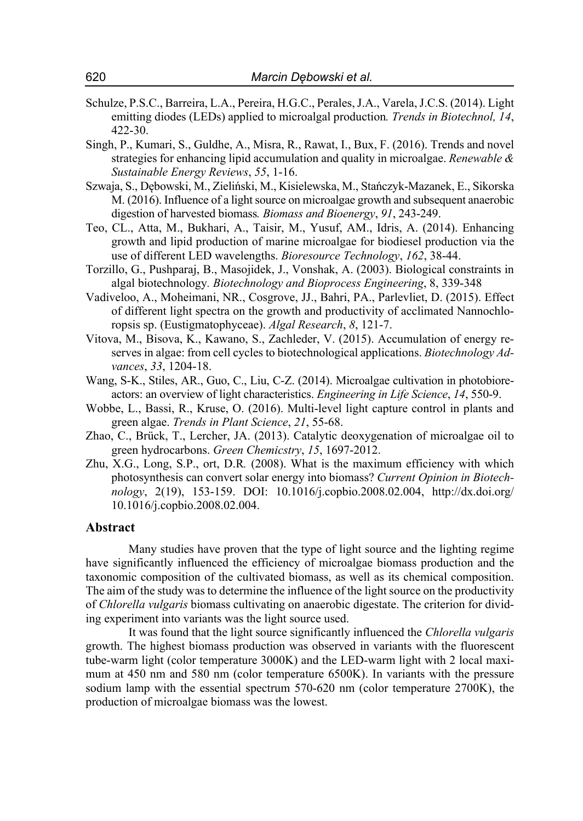- Schulze, P.S.C., Barreira, L.A., Pereira, H.G.C., Perales, J.A., Varela, J.C.S. (2014). Light emitting diodes (LEDs) applied to microalgal production*. Trends in Biotechnol, 14*, 422-30.
- Singh, P., Kumari, S., Guldhe, A., Misra, R., Rawat, I., Bux, F. (2016). Trends and novel strategies for enhancing lipid accumulation and quality in microalgae. *Renewable & Sustainable Energy Reviews*, *55*, 1-16.
- Szwaja, S., Dębowski, M., Zieliński, M., Kisielewska, M., Stańczyk-Mazanek, E., Sikorska M. (2016). Influence of a light source on microalgae growth and subsequent anaerobic digestion of harvested biomass*. Biomass and Bioenergy*, *91*, 243-249.
- Teo, CL., Atta, M., Bukhari, A., Taisir, M., Yusuf, AM., Idris, A. (2014). Enhancing growth and lipid production of marine microalgae for biodiesel production via the use of different LED wavelengths. *Bioresource Technology*, *162*, 38-44.
- Torzillo, G., Pushparaj, B., Masojidek, J., Vonshak, A. (2003). Biological constraints in algal biotechnology*. Biotechnology and Bioprocess Engineering*, 8, 339-348
- Vadiveloo, A., Moheimani, NR., Cosgrove, JJ., Bahri, PA., Parlevliet, D. (2015). Effect of different light spectra on the growth and productivity of acclimated Nannochloropsis sp. (Eustigmatophyceae). *Algal Research*, *8*, 121-7.
- Vitova, M., Bisova, K., Kawano, S., Zachleder, V. (2015). Accumulation of energy reserves in algae: from cell cycles to biotechnological applications. *Biotechnology Advances*, *33*, 1204-18.
- Wang, S-K., Stiles, AR., Guo, C., Liu, C-Z. (2014). Microalgae cultivation in photobioreactors: an overview of light characteristics. *Engineering in Life Science*, *14*, 550-9.
- Wobbe, L., Bassi, R., Kruse, O. (2016). Multi-level light capture control in plants and green algae. *Trends in Plant Science*, *21*, 55-68.
- Zhao, C., Brück, T., Lercher, JA. (2013). Catalytic deoxygenation of microalgae oil to green hydrocarbons. *Green Chemicstry*, *15*, 1697-2012.
- Zhu, X.G., Long, S.P., ort, D.R*.* (2008). What is the maximum efficiency with which photosynthesis can convert solar energy into biomass? *Current Opinion in Biotechnology*, 2(19), 153-159. DOI: 10.1016/j.copbio.2008.02.004, http://dx.doi.org/ 10.1016/j.copbio.2008.02.004.

#### **Abstract**

Many studies have proven that the type of light source and the lighting regime have significantly influenced the efficiency of microalgae biomass production and the taxonomic composition of the cultivated biomass, as well as its chemical composition. The aim of the study was to determine the influence of the light source on the productivity of *Chlorella vulgaris* biomass cultivating on anaerobic digestate. The criterion for dividing experiment into variants was the light source used.

It was found that the light source significantly influenced the *Chlorella vulgaris* growth. The highest biomass production was observed in variants with the fluorescent tube-warm light (color temperature 3000K) and the LED-warm light with 2 local maximum at 450 nm and 580 nm (color temperature 6500K). In variants with the pressure sodium lamp with the essential spectrum 570-620 nm (color temperature 2700K), the production of microalgae biomass was the lowest.